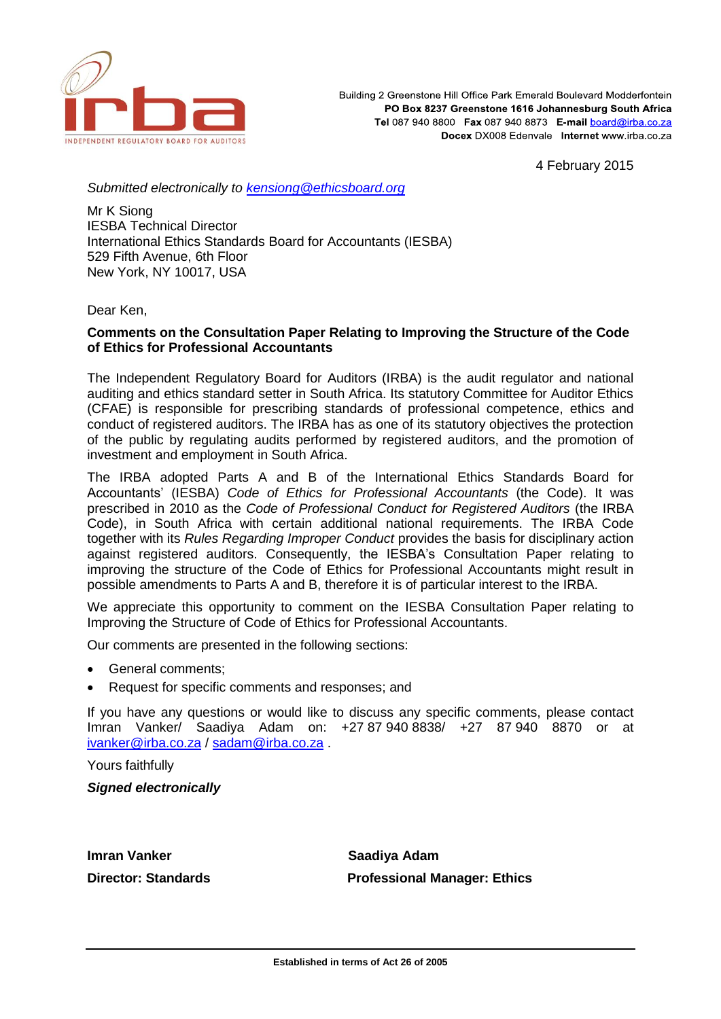

Building 2 Greenstone Hill Office Park Emerald Boulevard Modderfontein PO Box 8237 Greenstone 1616 Johannesburg South Africa Tel 087 940 8800 Fax 087 940 8873 E-mail board@irba.co.za Docex DX008 Edenvale Internet www.irba.co.za

4 February 2015

*Submitted electronically to [kensiong@ethicsboard.org](mailto:kensiong@ethicsboard.org)*

Mr K Siong IESBA Technical Director International Ethics Standards Board for Accountants (IESBA) 529 Fifth Avenue, 6th Floor New York, NY 10017, USA

Dear Ken,

# **Comments on the Consultation Paper Relating to Improving the Structure of the Code of Ethics for Professional Accountants**

The Independent Regulatory Board for Auditors (IRBA) is the audit regulator and national auditing and ethics standard setter in South Africa. Its statutory Committee for Auditor Ethics (CFAE) is responsible for prescribing standards of professional competence, ethics and conduct of registered auditors. The IRBA has as one of its statutory objectives the protection of the public by regulating audits performed by registered auditors, and the promotion of investment and employment in South Africa.

The IRBA adopted Parts A and B of the International Ethics Standards Board for Accountants' (IESBA) *Code of Ethics for Professional Accountants* (the Code). It was prescribed in 2010 as the *Code of Professional Conduct for Registered Auditors* (the IRBA Code), in South Africa with certain additional national requirements. The IRBA Code together with its *Rules Regarding Improper Conduct* provides the basis for disciplinary action against registered auditors. Consequently, the IESBA's Consultation Paper relating to improving the structure of the Code of Ethics for Professional Accountants might result in possible amendments to Parts A and B, therefore it is of particular interest to the IRBA.

We appreciate this opportunity to comment on the IESBA Consultation Paper relating to Improving the Structure of Code of Ethics for Professional Accountants.

Our comments are presented in the following sections:

- General comments;
- Request for specific comments and responses; and

If you have any questions or would like to discuss any specific comments, please contact Imran Vanker/ Saadiya Adam on: +27 87 940 8838/ +27 87 940 8870 or at [ivanker@irba.co.za](mailto:ivanker@irba.co.za) / [sadam@irba.co.za](mailto:sadam@irba.co.za) .

Yours faithfully

*Signed electronically*

**Imran Vanker Saadiya Adam** 

**Director: Standards Professional Manager: Ethics**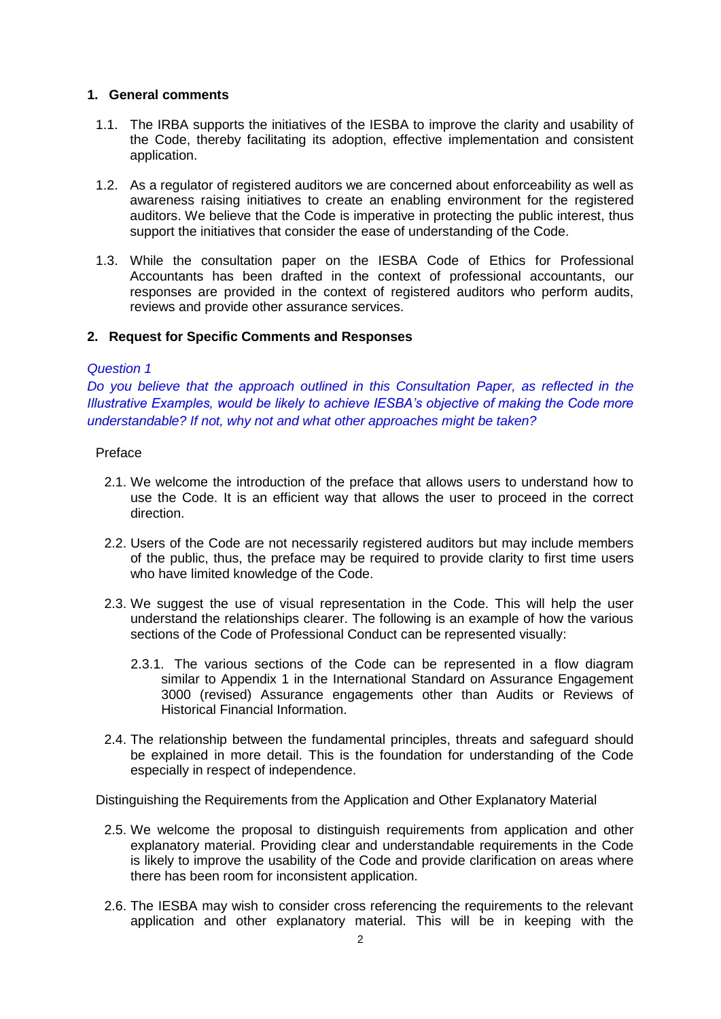## **1. General comments**

- 1.1. The IRBA supports the initiatives of the IESBA to improve the clarity and usability of the Code, thereby facilitating its adoption, effective implementation and consistent application.
- 1.2. As a regulator of registered auditors we are concerned about enforceability as well as awareness raising initiatives to create an enabling environment for the registered auditors. We believe that the Code is imperative in protecting the public interest, thus support the initiatives that consider the ease of understanding of the Code.
- 1.3. While the consultation paper on the IESBA Code of Ethics for Professional Accountants has been drafted in the context of professional accountants, our responses are provided in the context of registered auditors who perform audits, reviews and provide other assurance services.

# **2. Request for Specific Comments and Responses**

### *Question 1*

*Do you believe that the approach outlined in this Consultation Paper, as reflected in the Illustrative Examples, would be likely to achieve IESBA's objective of making the Code more understandable? If not, why not and what other approaches might be taken?*

## Preface

- 2.1. We welcome the introduction of the preface that allows users to understand how to use the Code. It is an efficient way that allows the user to proceed in the correct direction.
- 2.2. Users of the Code are not necessarily registered auditors but may include members of the public, thus, the preface may be required to provide clarity to first time users who have limited knowledge of the Code.
- 2.3. We suggest the use of visual representation in the Code. This will help the user understand the relationships clearer. The following is an example of how the various sections of the Code of Professional Conduct can be represented visually:
	- 2.3.1. The various sections of the Code can be represented in a flow diagram similar to Appendix 1 in the International Standard on Assurance Engagement 3000 (revised) Assurance engagements other than Audits or Reviews of Historical Financial Information.
- 2.4. The relationship between the fundamental principles, threats and safeguard should be explained in more detail. This is the foundation for understanding of the Code especially in respect of independence.

Distinguishing the Requirements from the Application and Other Explanatory Material

- 2.5. We welcome the proposal to distinguish requirements from application and other explanatory material. Providing clear and understandable requirements in the Code is likely to improve the usability of the Code and provide clarification on areas where there has been room for inconsistent application.
- 2.6. The IESBA may wish to consider cross referencing the requirements to the relevant application and other explanatory material. This will be in keeping with the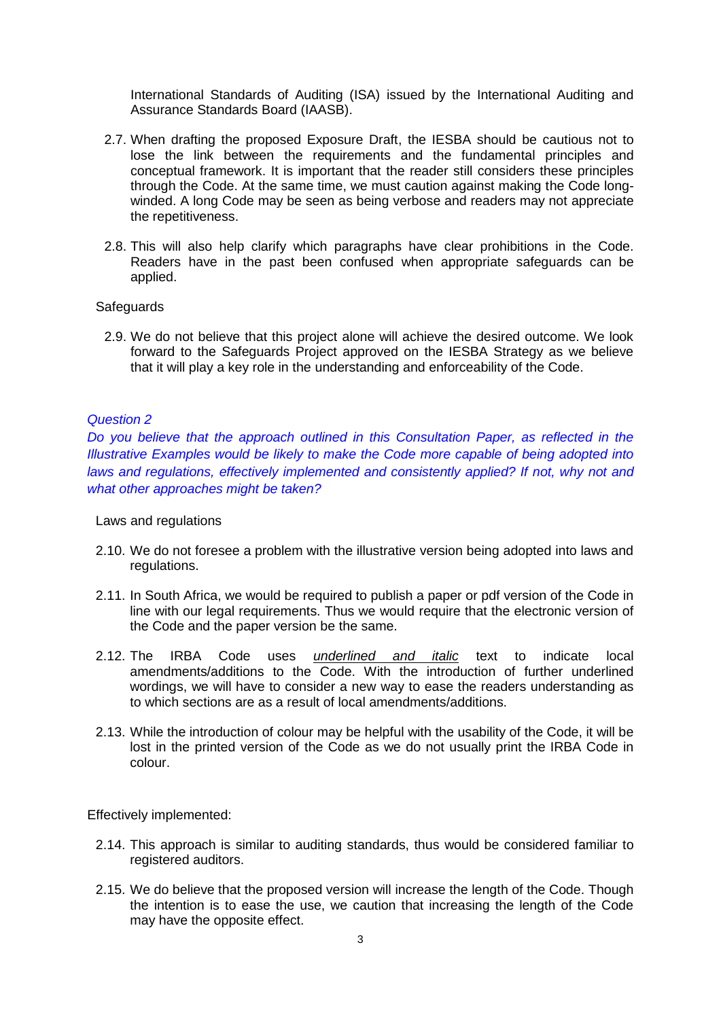International Standards of Auditing (ISA) issued by the International Auditing and Assurance Standards Board (IAASB).

- 2.7. When drafting the proposed Exposure Draft, the IESBA should be cautious not to lose the link between the requirements and the fundamental principles and conceptual framework. It is important that the reader still considers these principles through the Code. At the same time, we must caution against making the Code longwinded. A long Code may be seen as being verbose and readers may not appreciate the repetitiveness.
- 2.8. This will also help clarify which paragraphs have clear prohibitions in the Code. Readers have in the past been confused when appropriate safeguards can be applied.

#### **Safeguards**

2.9. We do not believe that this project alone will achieve the desired outcome. We look forward to the Safeguards Project approved on the IESBA Strategy as we believe that it will play a key role in the understanding and enforceability of the Code.

#### *Question 2*

*Do you believe that the approach outlined in this Consultation Paper, as reflected in the Illustrative Examples would be likely to make the Code more capable of being adopted into*  laws and regulations, effectively implemented and consistently applied? If not, why not and *what other approaches might be taken?*

Laws and regulations

- 2.10. We do not foresee a problem with the illustrative version being adopted into laws and regulations.
- 2.11. In South Africa, we would be required to publish a paper or pdf version of the Code in line with our legal requirements. Thus we would require that the electronic version of the Code and the paper version be the same.
- 2.12. The IRBA Code uses *underlined and italic* text to indicate local amendments/additions to the Code. With the introduction of further underlined wordings, we will have to consider a new way to ease the readers understanding as to which sections are as a result of local amendments/additions.
- 2.13. While the introduction of colour may be helpful with the usability of the Code, it will be lost in the printed version of the Code as we do not usually print the IRBA Code in colour.

Effectively implemented:

- 2.14. This approach is similar to auditing standards, thus would be considered familiar to registered auditors.
- 2.15. We do believe that the proposed version will increase the length of the Code. Though the intention is to ease the use, we caution that increasing the length of the Code may have the opposite effect.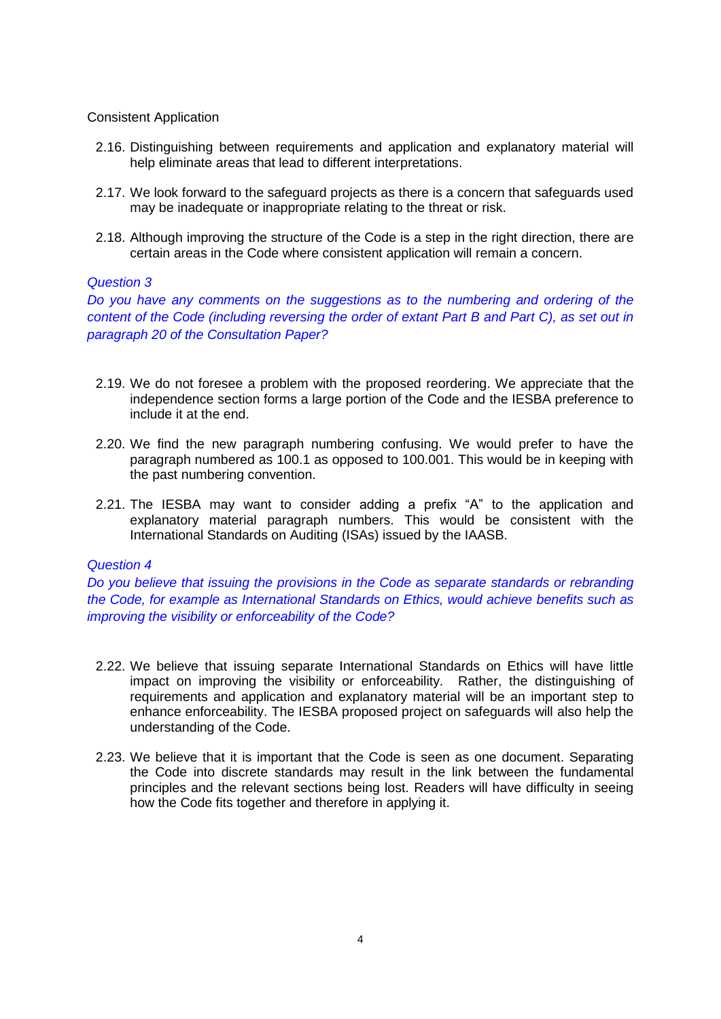## Consistent Application

- 2.16. Distinguishing between requirements and application and explanatory material will help eliminate areas that lead to different interpretations.
- 2.17. We look forward to the safeguard projects as there is a concern that safeguards used may be inadequate or inappropriate relating to the threat or risk.
- 2.18. Although improving the structure of the Code is a step in the right direction, there are certain areas in the Code where consistent application will remain a concern.

## *Question 3*

*Do you have any comments on the suggestions as to the numbering and ordering of the content of the Code (including reversing the order of extant Part B and Part C), as set out in paragraph 20 of the Consultation Paper?*

- 2.19. We do not foresee a problem with the proposed reordering. We appreciate that the independence section forms a large portion of the Code and the IESBA preference to include it at the end.
- 2.20. We find the new paragraph numbering confusing. We would prefer to have the paragraph numbered as 100.1 as opposed to 100.001. This would be in keeping with the past numbering convention.
- 2.21. The IESBA may want to consider adding a prefix "A" to the application and explanatory material paragraph numbers. This would be consistent with the International Standards on Auditing (ISAs) issued by the IAASB.

### *Question 4*

*Do you believe that issuing the provisions in the Code as separate standards or rebranding the Code, for example as International Standards on Ethics, would achieve benefits such as improving the visibility or enforceability of the Code?*

- 2.22. We believe that issuing separate International Standards on Ethics will have little impact on improving the visibility or enforceability. Rather, the distinguishing of requirements and application and explanatory material will be an important step to enhance enforceability. The IESBA proposed project on safeguards will also help the understanding of the Code.
- 2.23. We believe that it is important that the Code is seen as one document. Separating the Code into discrete standards may result in the link between the fundamental principles and the relevant sections being lost. Readers will have difficulty in seeing how the Code fits together and therefore in applying it.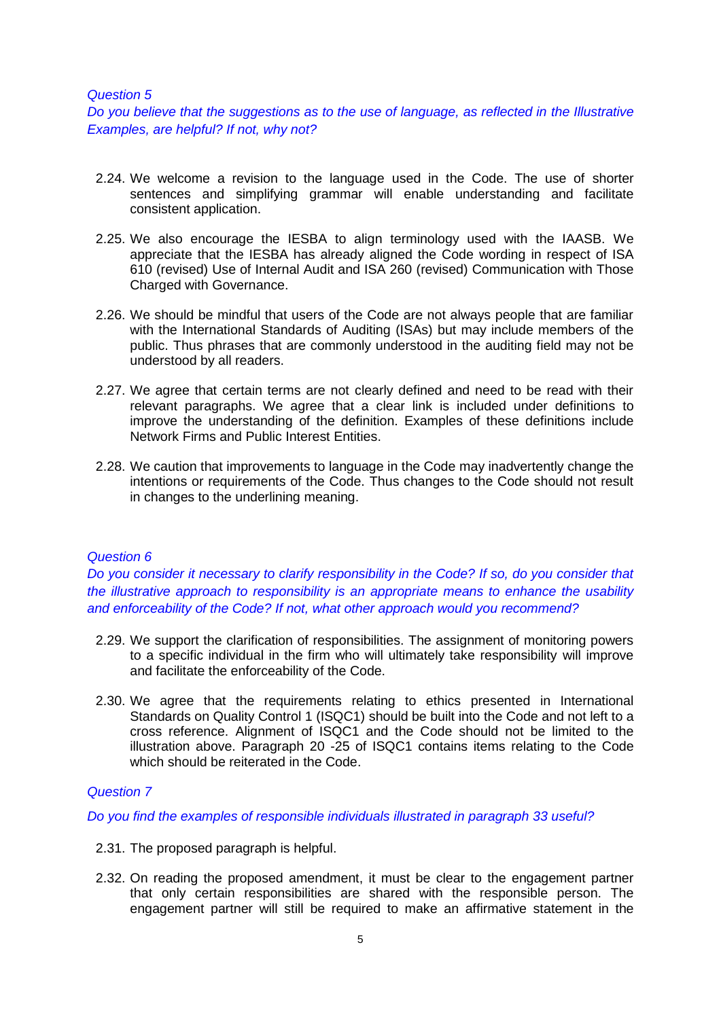#### *Question 5*

*Do you believe that the suggestions as to the use of language, as reflected in the Illustrative Examples, are helpful? If not, why not?*

- 2.24. We welcome a revision to the language used in the Code. The use of shorter sentences and simplifying grammar will enable understanding and facilitate consistent application.
- 2.25. We also encourage the IESBA to align terminology used with the IAASB. We appreciate that the IESBA has already aligned the Code wording in respect of ISA 610 (revised) Use of Internal Audit and ISA 260 (revised) Communication with Those Charged with Governance.
- 2.26. We should be mindful that users of the Code are not always people that are familiar with the International Standards of Auditing (ISAs) but may include members of the public. Thus phrases that are commonly understood in the auditing field may not be understood by all readers.
- 2.27. We agree that certain terms are not clearly defined and need to be read with their relevant paragraphs. We agree that a clear link is included under definitions to improve the understanding of the definition. Examples of these definitions include Network Firms and Public Interest Entities.
- 2.28. We caution that improvements to language in the Code may inadvertently change the intentions or requirements of the Code. Thus changes to the Code should not result in changes to the underlining meaning.

### *Question 6*

*Do you consider it necessary to clarify responsibility in the Code? If so, do you consider that the illustrative approach to responsibility is an appropriate means to enhance the usability and enforceability of the Code? If not, what other approach would you recommend?*

- 2.29. We support the clarification of responsibilities. The assignment of monitoring powers to a specific individual in the firm who will ultimately take responsibility will improve and facilitate the enforceability of the Code.
- 2.30. We agree that the requirements relating to ethics presented in International Standards on Quality Control 1 (ISQC1) should be built into the Code and not left to a cross reference. Alignment of ISQC1 and the Code should not be limited to the illustration above. Paragraph 20 -25 of ISQC1 contains items relating to the Code which should be reiterated in the Code.

### *Question 7*

*Do you find the examples of responsible individuals illustrated in paragraph 33 useful?*

- 2.31. The proposed paragraph is helpful.
- 2.32. On reading the proposed amendment, it must be clear to the engagement partner that only certain responsibilities are shared with the responsible person. The engagement partner will still be required to make an affirmative statement in the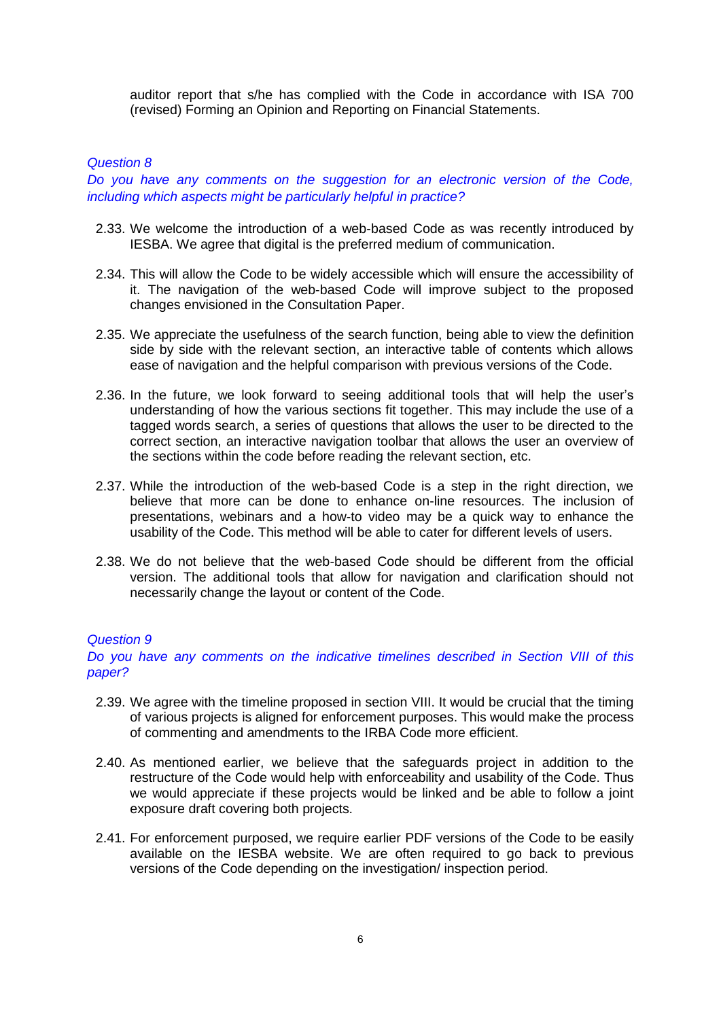auditor report that s/he has complied with the Code in accordance with ISA 700 (revised) Forming an Opinion and Reporting on Financial Statements.

## *Question 8*

*Do you have any comments on the suggestion for an electronic version of the Code, including which aspects might be particularly helpful in practice?*

- 2.33. We welcome the introduction of a web-based Code as was recently introduced by IESBA. We agree that digital is the preferred medium of communication.
- 2.34. This will allow the Code to be widely accessible which will ensure the accessibility of it. The navigation of the web-based Code will improve subject to the proposed changes envisioned in the Consultation Paper.
- 2.35. We appreciate the usefulness of the search function, being able to view the definition side by side with the relevant section, an interactive table of contents which allows ease of navigation and the helpful comparison with previous versions of the Code.
- 2.36. In the future, we look forward to seeing additional tools that will help the user's understanding of how the various sections fit together. This may include the use of a tagged words search, a series of questions that allows the user to be directed to the correct section, an interactive navigation toolbar that allows the user an overview of the sections within the code before reading the relevant section, etc.
- 2.37. While the introduction of the web-based Code is a step in the right direction, we believe that more can be done to enhance on-line resources. The inclusion of presentations, webinars and a how-to video may be a quick way to enhance the usability of the Code. This method will be able to cater for different levels of users.
- 2.38. We do not believe that the web-based Code should be different from the official version. The additional tools that allow for navigation and clarification should not necessarily change the layout or content of the Code.

### *Question 9*

*Do you have any comments on the indicative timelines described in Section VIII of this paper?*

- 2.39. We agree with the timeline proposed in section VIII. It would be crucial that the timing of various projects is aligned for enforcement purposes. This would make the process of commenting and amendments to the IRBA Code more efficient.
- 2.40. As mentioned earlier, we believe that the safeguards project in addition to the restructure of the Code would help with enforceability and usability of the Code. Thus we would appreciate if these projects would be linked and be able to follow a joint exposure draft covering both projects.
- 2.41. For enforcement purposed, we require earlier PDF versions of the Code to be easily available on the IESBA website. We are often required to go back to previous versions of the Code depending on the investigation/ inspection period.